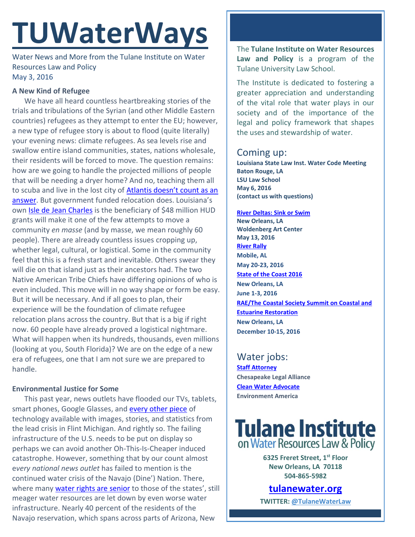# **TUWaterWays**

Water News and More from the Tulane Institute on Water Resources Law and Policy May 3, 2016

## **A New Kind of Refugee**

We have all heard countless heartbreaking stories of the trials and tribulations of the Syrian (and other Middle Eastern countries) refugees as they attempt to enter the EU; however, a new type of refugee story is about to flood (quite literally) your evening news: climate refugees. As sea levels rise and swallow entire island communities, states, nations wholesale, their residents will be forced to move. The question remains: how are we going to handle the projected millions of people that will be needing a dryer home? And no, teaching them all to scuba and live in the lost city of Atlantis doesn't count as an [answer](https://media.giphy.com/media/65i6AikLnRvna/giphy.gif). But government funded relocation does. Louisiana's own [Isle de Jean Charles](http://www.nytimes.com/2016/05/03/us/resettling-the-first-american-climate-refugees.html?_r=0) is the beneficiary of \$48 million HUD grants will make it one of the few attempts to move a community *en masse* (and by masse, we mean roughly 60 people). There are already countless issues cropping up, whether legal, cultural, or logistical. Some in the community feel that this is a fresh start and inevitable. Others swear they will die on that island just as their ancestors had. The two Native American Tribe Chiefs have differing opinions of who is even included. This move will in no way shape or form be easy. But it will be necessary. And if all goes to plan, their experience will be the foundation of climate refugee relocation plans across the country. But that is a big if right now. 60 people have already proved a logistical nightmare. What will happen when its hundreds, thousands, even millions (looking at you, South Florida)? We are on the edge of a new era of refugees, one that I am not sure we are prepared to handle.

## **Environmental Justice for Some**

This past year, news outlets have flooded our TVs, tablets, smart phones, Google Glasses, and [every other piece](https://store.google.com/product/google_cardboard?utm_source=en-ha-na-us-sem&utm_medium=desktop&utm_content=plas&utm_campaign=Cardboard&gl=us&gclid=Cj0KEQjwmKG5BRDv4YaE5t6oqf0BEiQAwqDNfIYjq2PLIEbdZV0MvunR4WDpBzkKSLF2-CVPL2boU1UaAhh-8P8HAQ) of technology available with images, stories, and statistics from the lead crisis in Flint Michigan. And rightly so. The failing infrastructure of the U.S. needs to be put on display so perhaps we can avoid another Oh-This-Is-Cheaper induced catastrophe. However, something that by our count almost e*very national news outlet* has failed to mention is the continued water crisis of the Navajo (Dine') Nation. There, where many [water rights are senior](http://www.nsweekly.com/news/2016-04-27/Top_News/Local_chapter_sues_Navajo_Nation_Council_over_Colo.html) to those of the states', still meager water resources are let down by even worse water infrastructure. Nearly 40 percent of the residents of the Navajo reservation, which spans across parts of Arizona, New

The **Tulane Institute on Water Resources Law and Policy** is a program of the Tulane University Law School.

The Institute is dedicated to fostering a greater appreciation and understanding of the vital role that water plays in our society and of the importance of the legal and policy framework that shapes the uses and stewardship of water.

# Coming up:

**Louisiana State Law Inst. Water Code Meeting Baton Rouge, LA LSU Law School May 6, 2016 (contact us with questions)**

**[River Deltas: Sink or Swim](https://attachment.outlook.office.net/owa/creilly@tulane.edu/service.svc/s/GetFileAttachment?id=AAMkAGY5ODgzZjk5LThmODUtNDNmNS1iMTFmLWM5YzIxMjM1ZGY1ZABGAAAAAADhF6T%2BQrYCSpWliA447KlqBwBLmelruGMbSZFU0sG57hcXAAAAAAENAABLmelruGMbSZFU0sG57hcXAAKGyTv%2BAAABEgAQAI9z6M%2FU8RxJk3RAU1%2Ft4Cg%3D&X-OWA-CANARY=c3ZbowByikWfT4-QYLLk5kAMFQVqc9MYi0RkdI5V_pxLwITXt4njQj05-V6Oy1arPyV7Ixqyt7s.&token=2d9c4509-d75d-43a4-9d3b-4f4998e1fe4f&owa=outlook.office.com) New Orleans, LA Woldenberg Art Center May 13, 2016 [River Rally](https://www.rivernetwork.org/events-learning/river-rally/about/) Mobile, AL May 20-23, 2016 [State of the Coast 2016](http://stateofthecoast.org/) New Orleans, LA June 1-3, 2016 [RAE/The Coastal Society Summit on Coastal and](https://www.estuaries.org/images/NOLA_2016/2016-Summit-CFP_FINAL-011516.pdf)  [Estuarine Restoration](https://www.estuaries.org/images/NOLA_2016/2016-Summit-CFP_FINAL-011516.pdf) New Orleans, LA December 10-15, 2016**

Water jobs: **[Staff Attorney](http://www.chesapeakelegal.org/documents/Staff_Attorney_2___CLA.pdf) Chesapeake Legal Alliance [Clean Water Advocate](http://jobs.environmentamerica.org/clean-water-advocate.html) Environment America**

**Tulane Institute** on Water Resources Law & Policy

> **6325 Freret Street, 1st Floor New Orleans, LA 70118 504-865-5982**

**[tulanewater.org](file:///C:/Users/waterlaw/Downloads/tulanewater.org)**

**TWITTER: [@TulaneWaterLaw](http://www.twitter.com/TulaneWaterLaw)**